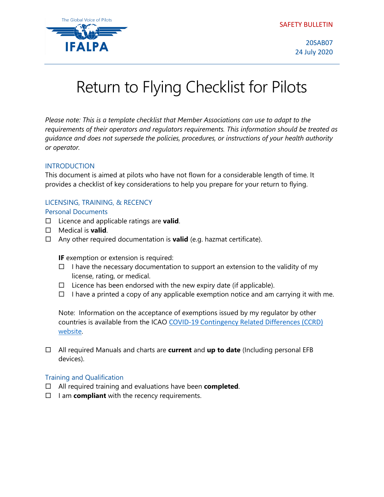SAFETY BULLETIN



20SAB07 24 July 2020

# Return to Flying Checklist for Pilots

*Please note: This is a template checklist that Member Associations can use to adapt to the requirements of their operators and regulators requirements. This information should be treated as guidance and does not supersede the policies, procedures, or instructions of your health authority or operator.* 

#### INTRODUCTION

This document is aimed at pilots who have not flown for a considerable length of time. It provides a checklist of key considerations to help you prepare for your return to flying.

## LICENSING, TRAINING, & RECENCY

#### Personal Documents

- Licence and applicable ratings are **valid**.
- Medical is **valid**.
- Any other required documentation is **valid** (e.g. hazmat certificate).

**IF** exemption or extension is required:

- $\Box$  I have the necessary documentation to support an extension to the validity of my license, rating, or medical.
- $\Box$  Licence has been endorsed with the new expiry date (if applicable).
- $\Box$  I have a printed a copy of any applicable exemption notice and am carrying it with me.

Note: Information on the acceptance of exemptions issued by my regulator by other countries is available from the ICAO [COVID-19 Contingency Related Differences \(CCRD\)](https://www.icao.int/safety/COVID-19OPS/Pages/ccrd.aspx) [website.](https://www.icao.int/safety/COVID-19OPS/Pages/ccrd.aspx)

 All required Manuals and charts are **current** and **up to date** (Including personal EFB devices).

#### Training and Qualification

- All required training and evaluations have been **completed**.
- $\Box$  I am **compliant** with the recency requirements.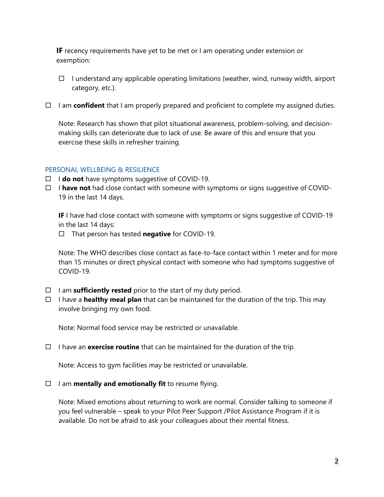**IF** recency requirements have yet to be met or I am operating under extension or exemption:

- $\Box$  I understand any applicable operating limitations (weather, wind, runway width, airport category, etc.).
- I am **confident** that I am properly prepared and proficient to complete my assigned duties.

Note: Research has shown that pilot situational awareness, problem-solving, and decisionmaking skills can deteriorate due to lack of use. Be aware of this and ensure that you exercise these skills in refresher training.

#### PERSONAL WELLBEING & RESILIENCE

- $\Box$  **I do not** have symptoms suggestive of COVID-19.
- I **have not** had close contact with someone with symptoms or signs suggestive of COVID-19 in the last 14 days.

**IF** I have had close contact with someone with symptoms or signs suggestive of COVID-19 in the last 14 days:

That person has tested **negative** for COVID-19.

Note: The WHO describes close contact as face-to-face contact within 1 meter and for more than 15 minutes or direct physical contact with someone who had symptoms suggestive of COVID-19.

- $\Box$  I am **sufficiently rested** prior to the start of my duty period.
- I have a **healthy meal plan** that can be maintained for the duration of the trip. This may involve bringing my own food.

Note: Normal food service may be restricted or unavailable.

 $\Box$  I have an **exercise routine** that can be maintained for the duration of the trip.

Note: Access to gym facilities may be restricted or unavailable.

I am **mentally and emotionally fit** to resume flying.

Note: Mixed emotions about returning to work are normal. Consider talking to someone if you feel vulnerable – speak to your Pilot Peer Support /Pilot Assistance Program if it is available. Do not be afraid to ask your colleagues about their mental fitness.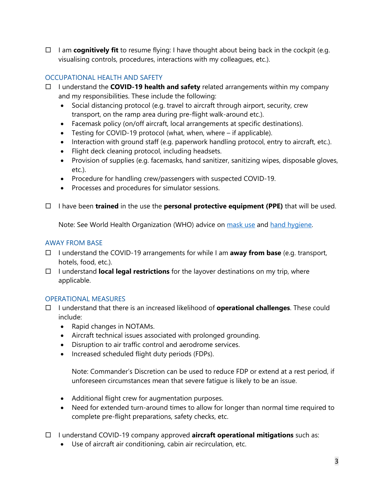$\Box$  I am **cognitively fit** to resume flying: I have thought about being back in the cockpit (e.g. visualising controls, procedures, interactions with my colleagues, etc.).

## OCCUPATIONAL HEALTH AND SAFETY

- $\Box$  I understand the **COVID-19 health and safety** related arrangements within my company and my responsibilities. These include the following:
	- Social distancing protocol (e.g. travel to aircraft through airport, security, crew transport, on the ramp area during pre-flight walk-around etc.).
	- Facemask policy (on/off aircraft, local arrangements at specific destinations).
	- Testing for COVID-19 protocol (what, when, where if applicable).
	- Interaction with ground staff (e.g. paperwork handling protocol, entry to aircraft, etc.).
	- Flight deck cleaning protocol, including headsets.
	- Provision of supplies (e.g. facemasks, hand sanitizer, sanitizing wipes, disposable gloves, etc.).
	- Procedure for handling crew/passengers with suspected COVID-19.
	- Processes and procedures for simulator sessions.
- $\Box$  I have been **trained** in the use the **personal protective equipment (PPE)** that will be used.

Note: See World Health Organization (WHO) advice on [mask use](https://www.who.int/emergencies/diseases/novel-coronavirus-2019/advice-for-public/when-and-how-to-use-masks) and [hand hygiene.](https://www.who.int/gpsc/clean_hands_protection/en/)

## AWAY FROM BASE

- I understand the COVID-19 arrangements for while I am **away from base** (e.g. transport, hotels, food, etc.).
- □ I understand **local legal restrictions** for the layover destinations on my trip, where applicable.

## OPERATIONAL MEASURES

- I understand that there is an increased likelihood of **operational challenges**. These could include:
	- Rapid changes in NOTAMs.
	- Aircraft technical issues associated with prolonged grounding.
	- Disruption to air traffic control and aerodrome services.
	- Increased scheduled flight duty periods (FDPs).

Note: Commander's Discretion can be used to reduce FDP or extend at a rest period, if unforeseen circumstances mean that severe fatigue is likely to be an issue.

- Additional flight crew for augmentation purposes.
- Need for extended turn-around times to allow for longer than normal time required to complete pre-flight preparations, safety checks, etc.
- I understand COVID-19 company approved **aircraft operational mitigations** such as:
	- Use of aircraft air conditioning, cabin air recirculation, etc.